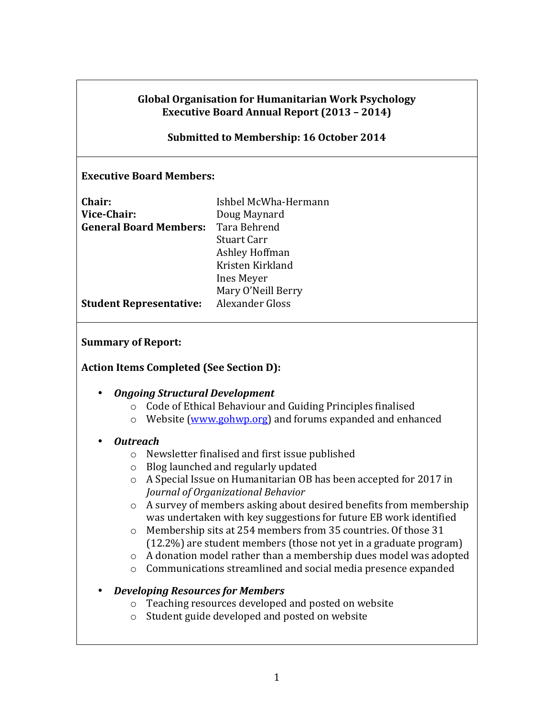#### **Global Organisation for Humanitarian Work Psychology Executive Board Annual Report (2013 – 2014)**

#### **Submitted to Membership: 16 October 2014**

#### **Executive Board Members:**

| Ishbel McWha-Hermann   |
|------------------------|
| Doug Maynard           |
| Tara Behrend           |
| Stuart Carr            |
| Ashley Hoffman         |
| Kristen Kirkland       |
| Ines Meyer             |
| Mary O'Neill Berry     |
| <b>Alexander Gloss</b> |
|                        |

#### **Summary of Report:**

#### **Action Items Completed (See Section D):**

- *Ongoing Structural Development*
	- $\circ$  Code of Ethical Behaviour and Guiding Principles finalised
	- $\circ$  Website (www.gohwp.org) and forums expanded and enhanced

#### • *Outreach*

- $\circ$  Newsletter finalised and first issue published
- $\circ$  Blog launched and regularly updated
- $\circ$  A Special Issue on Humanitarian OB has been accepted for 2017 in *Journal of Organizational Behavior*
- $\circ$  A survey of members asking about desired benefits from membership was undertaken with key suggestions for future EB work identified
- $\circ$  Membership sits at 254 members from 35 countries. Of those 31  $(12.2\%)$  are student members (those not yet in a graduate program)
- $\circ$  A donation model rather than a membership dues model was adopted
- $\circ$  Communications streamlined and social media presence expanded

#### • *Developing Resources for Members*

- $\circ$  Teaching resources developed and posted on website
- $\circ$  Student guide developed and posted on website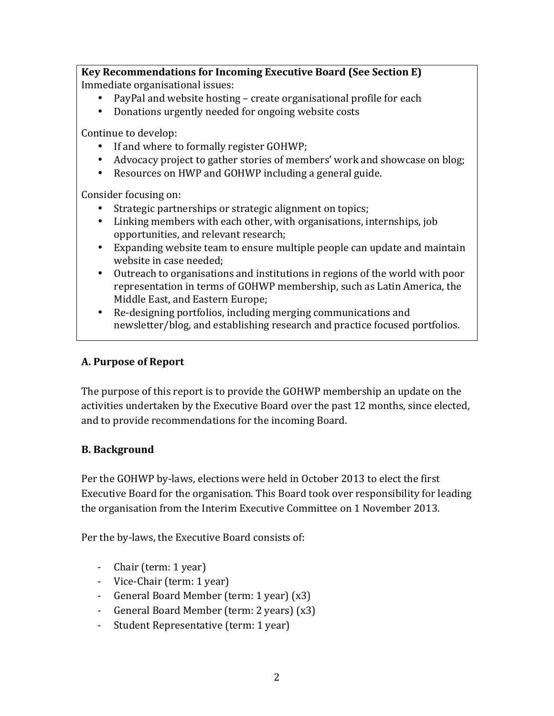**Key Recommendations for Incoming Executive Board (See Section E)** Immediate organisational issues:

- PayPal and website hosting create organisational profile for each
- Donations urgently needed for ongoing website costs

Continue to develop:

- If and where to formally register GOHWP;
- Advocacy project to gather stories of members' work and showcase on blog;
- Resources on HWP and GOHWP including a general guide.

Consider focusing on:

- Strategic partnerships or strategic alignment on topics;
- Linking members with each other, with organisations, internships, job opportunities, and relevant research;
- Expanding website team to ensure multiple people can update and maintain website in case needed;
- Outreach to organisations and institutions in regions of the world with poor representation in terms of GOHWP membership, such as Latin America, the Middle East, and Eastern Europe;
- Re-designing portfolios, including merging communications and newsletter/blog, and establishing research and practice focused portfolios.

# **A. Purpose of Report**

The purpose of this report is to provide the GOHWP membership an update on the activities undertaken by the Executive Board over the past 12 months, since elected, and to provide recommendations for the incoming Board.

## **B. Background**

Per the GOHWP by-laws, elections were held in October 2013 to elect the first Executive Board for the organisation. This Board took over responsibility for leading the organisation from the Interim Executive Committee on 1 November 2013.

Per the by-laws, the Executive Board consists of:

- Chair (term: 1 year)
- Vice-Chair (term: 1 year)
- General Board Member (term: 1 year) (x3)
- General Board Member (term: 2 years) (x3)
- Student Representative (term: 1 year)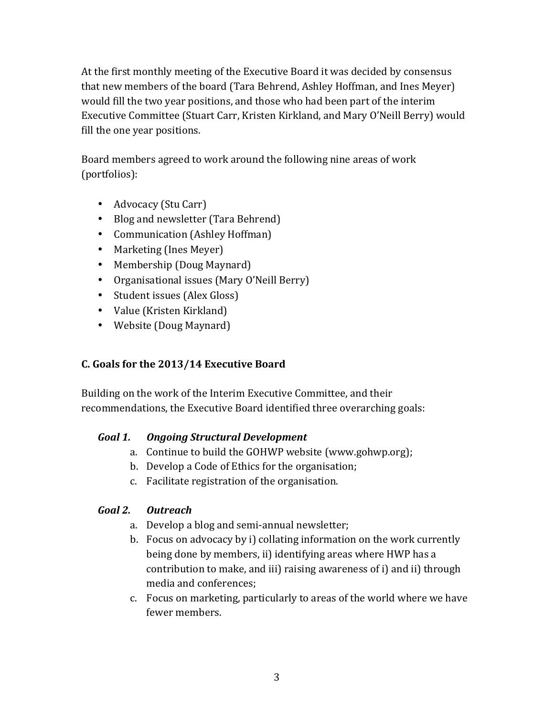At the first monthly meeting of the Executive Board it was decided by consensus that new members of the board (Tara Behrend, Ashley Hoffman, and Ines Meyer) would fill the two year positions, and those who had been part of the interim Executive Committee (Stuart Carr, Kristen Kirkland, and Mary O'Neill Berry) would fill the one year positions.

Board members agreed to work around the following nine areas of work (portfolios):

- Advocacy (Stu Carr)
- Blog and newsletter (Tara Behrend)
- Communication (Ashley Hoffman)
- Marketing (Ines Meyer)
- Membership (Doug Maynard)
- Organisational issues (Mary O'Neill Berry)
- Student issues (Alex Gloss)
- Value (Kristen Kirkland)
- Website (Doug Maynard)

# **C. Goals for the 2013/14 Executive Board**

Building on the work of the Interim Executive Committee, and their recommendations, the Executive Board identified three overarching goals:

## *Goal 1. Ongoing Structural Development*

- a. Continue to build the GOHWP website (www.gohwp.org);
- b. Develop a Code of Ethics for the organisation;
- c. Facilitate registration of the organisation.

# *Goal 2. Outreach*

- a. Develop a blog and semi-annual newsletter;
- b. Focus on advocacy by i) collating information on the work currently being done by members, ii) identifying areas where HWP has a contribution to make, and iii) raising awareness of i) and ii) through media and conferences;
- c. Focus on marketing, particularly to areas of the world where we have fewer members.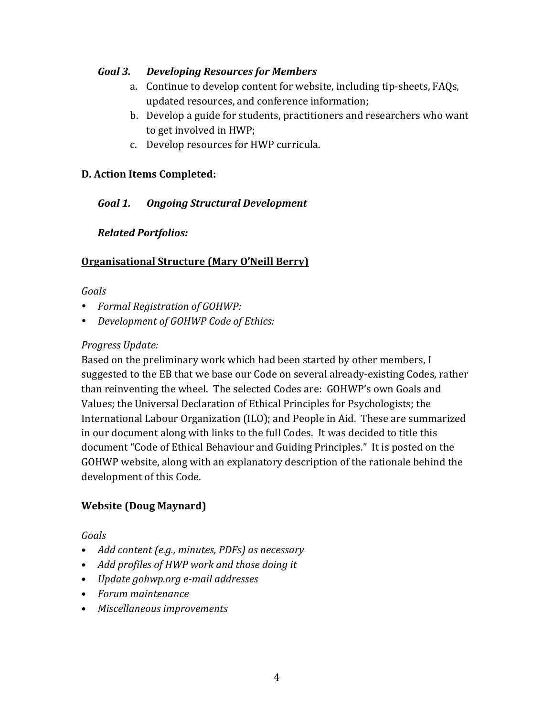### *Goal 3. Developing Resources for Members*

- a. Continue to develop content for website, including tip-sheets, FAQs, updated resources, and conference information;
- b. Develop a guide for students, practitioners and researchers who want to get involved in HWP;
- c. Develop resources for HWP curricula.

### **D. Action Items Completed:**

## *Goal 1. Ongoing Structural Development*

### *Related Portfolios:*

### **Organisational Structure (Mary O'Neill Berry)**

#### *Goals*

- *Formal Registration of GOHWP:*
- *Development of GOHWP Code of Ethics:*

### *Progress Update:*

Based on the preliminary work which had been started by other members, I suggested to the EB that we base our Code on several already-existing Codes, rather than reinventing the wheel. The selected Codes are: GOHWP's own Goals and Values; the Universal Declaration of Ethical Principles for Psychologists; the International Labour Organization (ILO); and People in Aid. These are summarized in our document along with links to the full Codes. It was decided to title this document "Code of Ethical Behaviour and Guiding Principles." It is posted on the GOHWP website, along with an explanatory description of the rationale behind the development of this Code.

### **Website (Doug Maynard)**

### *Goals*

- Add content (e.g., minutes, PDFs) as necessary
- Add profiles of HWP work and those doing it
- *Update gohwp.org e-mail addresses*
- *Forum maintenance*
- Miscellaneous *improvements*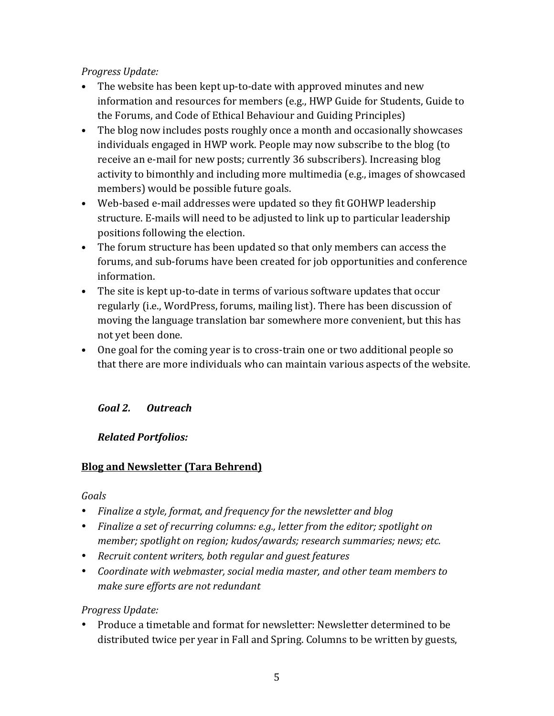### *Progress Update:*

- The website has been kept up-to-date with approved minutes and new information and resources for members (e.g., HWP Guide for Students, Guide to the Forums, and Code of Ethical Behaviour and Guiding Principles)
- The blog now includes posts roughly once a month and occasionally showcases individuals engaged in HWP work. People may now subscribe to the blog (to receive an e-mail for new posts; currently 36 subscribers). Increasing blog activity to bimonthly and including more multimedia (e.g., images of showcased members) would be possible future goals.
- Web-based e-mail addresses were updated so they fit GOHWP leadership structure. E-mails will need to be adjusted to link up to particular leadership positions following the election.
- The forum structure has been updated so that only members can access the forums, and sub-forums have been created for job opportunities and conference information.
- The site is kept up-to-date in terms of various software updates that occur regularly (i.e., WordPress, forums, mailing list). There has been discussion of moving the language translation bar somewhere more convenient, but this has not yet been done.
- One goal for the coming year is to cross-train one or two additional people so that there are more individuals who can maintain various aspects of the website.

# *Goal 2. Outreach*

## *Related Portfolios:*

## **Blog and Newsletter (Tara Behrend)**

### *Goals*

- Finalize a style, format, and frequency for the newsletter and blog
- Finalize a set of recurring columns: e.g., letter from the editor; spotlight on member; spotlight on region; kudos/awards; research summaries; news; etc.
- Recruit content writers, both regular and guest features
- Coordinate with webmaster, social media master, and other team members to *make sure efforts are not redundant*

## *Progress Update:*

Produce a timetable and format for newsletter: Newsletter determined to be distributed twice per year in Fall and Spring. Columns to be written by guests,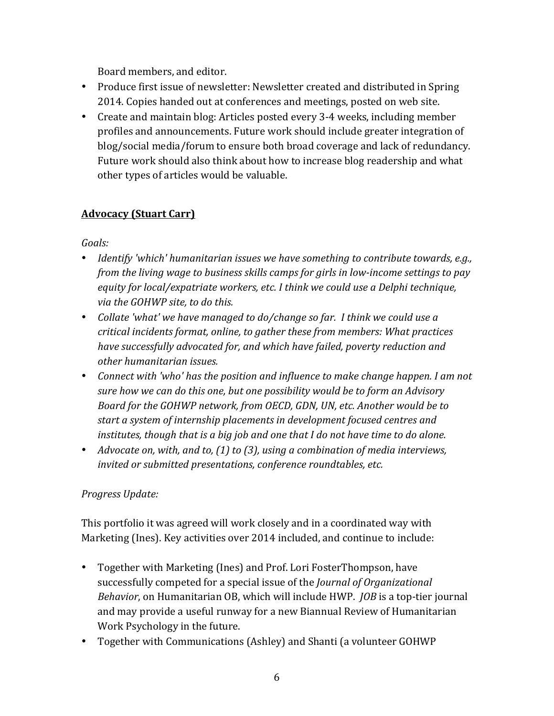Board members, and editor.

- Produce first issue of newsletter: Newsletter created and distributed in Spring 2014. Copies handed out at conferences and meetings, posted on web site.
- Create and maintain blog: Articles posted every 3-4 weeks, including member profiles and announcements. Future work should include greater integration of blog/social media/forum to ensure both broad coverage and lack of redundancy. Future work should also think about how to increase blog readership and what other types of articles would be valuable.

# **Advocacy (Stuart Carr)**

*Goals:*

- Identify 'which' humanitarian issues we have something to contribute towards, e.g., *from the living wage to business skills camps for girls in low-income settings to pay* equity for local/expatriate workers, etc. I think we could use a Delphi technique, *via the GOHWP site, to do this.*
- Collate 'what' we have managed to do/change so far. I think we could use a *critical incidents format, online, to gather these from members: What practices have successfully advocated for, and which have failed, poverty reduction and other humanitarian issues.*
- Connect with 'who' has the position and influence to make change happen. I am not *sure how we can do this one, but one possibility would be to form an Advisory* Board for the GOHWP network, from OECD, GDN, UN, etc. Another would be to start a system of internship placements in development focused centres and *institutes, though that is a big job and one that I do not have time to do alone.*
- Advocate on, with, and to, (1) to (3), using a combination of media interviews, *invited or submitted presentations, conference roundtables, etc.*

# *Progress Update:*

This portfolio it was agreed will work closely and in a coordinated way with Marketing (Ines). Key activities over 2014 included, and continue to include:

- Together with Marketing (Ines) and Prof. Lori FosterThompson, have successfully competed for a special issue of the *Journal of Organizational Behavior*, on Humanitarian OB, which will include HWP. *JOB* is a top-tier journal and may provide a useful runway for a new Biannual Review of Humanitarian Work Psychology in the future.
- Together with Communications (Ashley) and Shanti (a volunteer GOHWP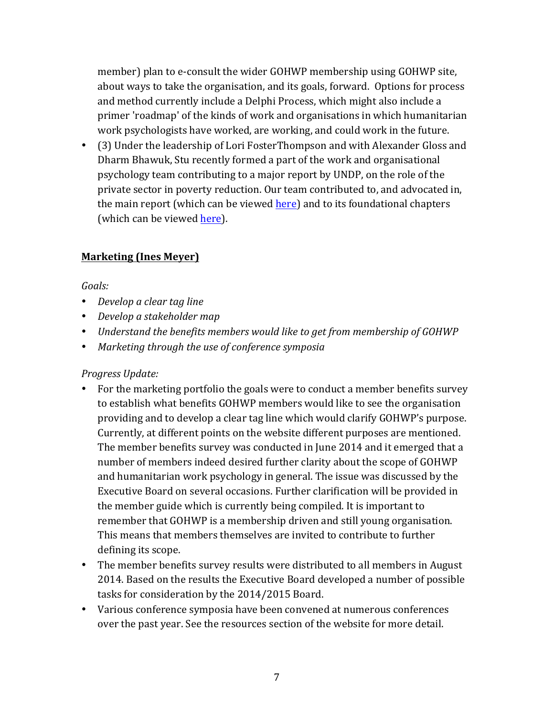member) plan to e-consult the wider GOHWP membership using GOHWP site, about ways to take the organisation, and its goals, forward. Options for process and method currently include a Delphi Process, which might also include a primer 'roadmap' of the kinds of work and organisations in which humanitarian work psychologists have worked, are working, and could work in the future.

• (3) Under the leadership of Lori FosterThompson and with Alexander Gloss and Dharm Bhawuk, Stu recently formed a part of the work and organisational psychology team contributing to a major report by UNDP, on the role of the private sector in poverty reduction. Our team contributed to, and advocated in, the main report (which can be viewed here) and to its foundational chapters (which can be viewed here).

### **Marketing (Ines Meyer)**

#### *Goals:*

- Develop a clear tag line
- *Develop a stakeholder map*
- *Understand the benefits members would like to get from membership of GOHWP*
- Marketing through the use of conference symposia

### *Progress Update:*

- For the marketing portfolio the goals were to conduct a member benefits survey to establish what benefits GOHWP members would like to see the organisation providing and to develop a clear tag line which would clarify GOHWP's purpose. Currently, at different points on the website different purposes are mentioned. The member benefits survey was conducted in June 2014 and it emerged that a number of members indeed desired further clarity about the scope of GOHWP and humanitarian work psychology in general. The issue was discussed by the Executive Board on several occasions. Further clarification will be provided in the member guide which is currently being compiled. It is important to remember that GOHWP is a membership driven and still young organisation. This means that members themselves are invited to contribute to further defining its scope.
- The member benefits survey results were distributed to all members in August 2014. Based on the results the Executive Board developed a number of possible tasks for consideration by the 2014/2015 Board.
- Various conference symposia have been convened at numerous conferences over the past year. See the resources section of the website for more detail.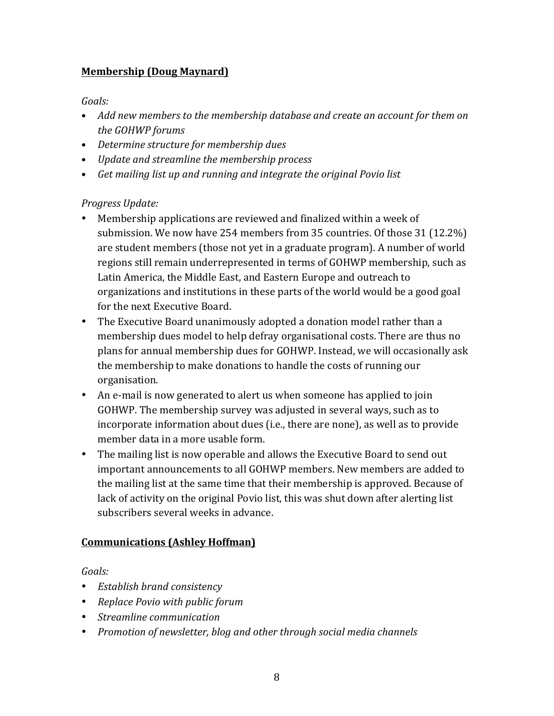## **Membership (Doug Maynard)**

*Goals:*

- Add new members to the membership database and create an account for them on *the GOHWP forums*
- Determine structure for membership dues
- *Update and streamline the membership process*
- Get mailing list up and running and integrate the original Povio list

### *Progress Update:*

- Membership applications are reviewed and finalized within a week of submission. We now have 254 members from 35 countries. Of those 31 (12.2%) are student members (those not yet in a graduate program). A number of world regions still remain underrepresented in terms of GOHWP membership, such as Latin America, the Middle East, and Eastern Europe and outreach to organizations and institutions in these parts of the world would be a good goal for the next Executive Board.
- The Executive Board unanimously adopted a donation model rather than a membership dues model to help defray organisational costs. There are thus no plans for annual membership dues for GOHWP. Instead, we will occasionally ask the membership to make donations to handle the costs of running our organisation.
- An e-mail is now generated to alert us when someone has applied to join GOHWP. The membership survey was adjusted in several ways, such as to incorporate information about dues (i.e., there are none), as well as to provide member data in a more usable form.
- The mailing list is now operable and allows the Executive Board to send out important announcements to all GOHWP members. New members are added to the mailing list at the same time that their membership is approved. Because of lack of activity on the original Povio list, this was shut down after alerting list subscribers several weeks in advance.

## **Communications (Ashley Hoffman)**

*Goals:*

- *Establish brand consistency*
- *Replace Povio with public forum*
- *Streamline communication*
- *Promotion of newsletter, blog and other through social media channels*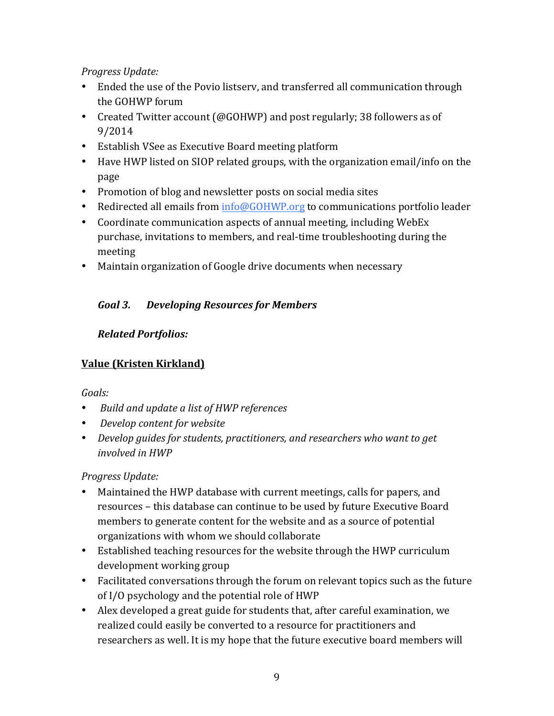### *Progress Update:*

- Ended the use of the Povio listserv, and transferred all communication through the GOHWP forum
- Created Twitter account (@GOHWP) and post regularly; 38 followers as of 9/2014
- Establish VSee as Executive Board meeting platform
- Have HWP listed on SIOP related groups, with the organization email/info on the page
- Promotion of blog and newsletter posts on social media sites
- Redirected all emails from  $info@GOHWP.org$  to communications portfolio leader
- Coordinate communication aspects of annual meeting, including WebEx purchase, invitations to members, and real-time troubleshooting during the meeting
- Maintain organization of Google drive documents when necessary

## *Goal 3. Developing Resources for Members*

### *Related Portfolios:*

## **Value (Kristen Kirkland)**

### *Goals:*

- *Build and update a list of HWP references*
- Develop content for website
- *Develop guides for students, practitioners, and researchers who want to get involved* in HWP

### *Progress Update:*

- Maintained the HWP database with current meetings, calls for papers, and resources - this database can continue to be used by future Executive Board members to generate content for the website and as a source of potential organizations with whom we should collaborate
- Established teaching resources for the website through the HWP curriculum development working group
- Facilitated conversations through the forum on relevant topics such as the future of I/O psychology and the potential role of HWP
- Alex developed a great guide for students that, after careful examination, we realized could easily be converted to a resource for practitioners and researchers as well. It is my hope that the future executive board members will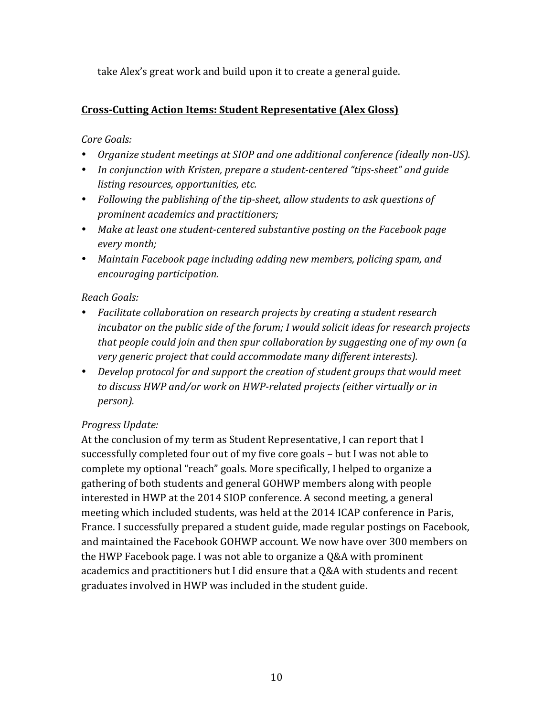take Alex's great work and build upon it to create a general guide.

### **Cross-Cutting Action Items: Student Representative (Alex Gloss)**

### *Core Goals:*

- *Organize student meetings at SIOP and one additional conference (ideally non-US).*
- In conjunction with Kristen, prepare a student-centered "tips-sheet" and guide *listing resources, opportunities, etc.*
- Following the publishing of the tip-sheet, allow students to ask questions of *prominent academics and practitioners;*
- Make at least one student-centered substantive posting on the Facebook page *every month;*
- Maintain Facebook page including adding new members, policing spam, and *encouraging participation.*

#### *Reach Goals:*

- Facilitate collaboration on research projects by creating a student research *incubator* on the public side of the forum; I would solicit ideas for research projects *that people could join and then spur collaboration by suggesting one of my own (a* very generic project that could accommodate many different interests).
- Develop protocol for and support the creation of student groups that would meet to discuss HWP and/or work on HWP-related projects (either virtually or in *person).*

### *Progress Update:*

At the conclusion of my term as Student Representative, I can report that I successfully completed four out of my five core goals  $-$  but I was not able to complete my optional "reach" goals. More specifically, I helped to organize a gathering of both students and general GOHWP members along with people interested in HWP at the 2014 SIOP conference. A second meeting, a general meeting which included students, was held at the 2014 ICAP conference in Paris, France. I successfully prepared a student guide, made regular postings on Facebook, and maintained the Facebook GOHWP account. We now have over 300 members on the HWP Facebook page. I was not able to organize a  $Q&A$  with prominent academics and practitioners but I did ensure that a Q&A with students and recent graduates involved in HWP was included in the student guide.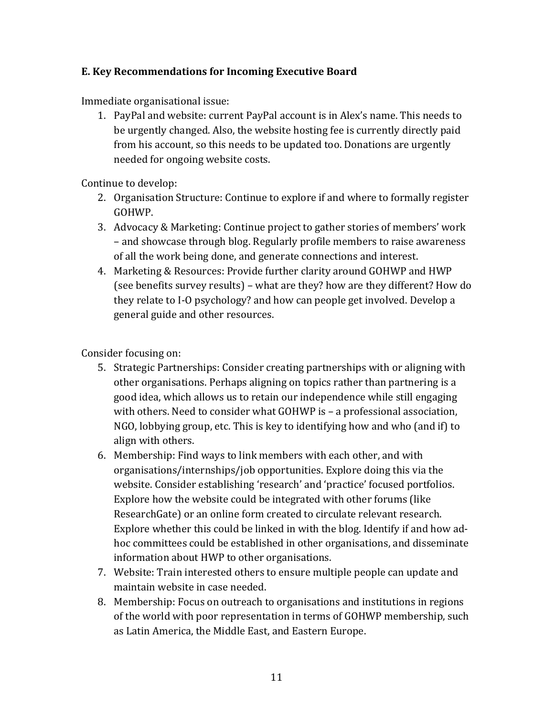### **E. Key Recommendations for Incoming Executive Board**

Immediate organisational issue:

1. PayPal and website: current PayPal account is in Alex's name. This needs to be urgently changed. Also, the website hosting fee is currently directly paid from his account, so this needs to be updated too. Donations are urgently needed for ongoing website costs.

Continue to develop:

- 2. Organisation Structure: Continue to explore if and where to formally register GOHWP.
- 3. Advocacy & Marketing: Continue project to gather stories of members' work – and showcase through blog. Regularly profile members to raise awareness of all the work being done, and generate connections and interest.
- 4. Marketing & Resources: Provide further clarity around GOHWP and HWP (see benefits survey results) – what are they? how are they different? How do they relate to I-O psychology? and how can people get involved. Develop a general guide and other resources.

Consider focusing on:

- 5. Strategic Partnerships: Consider creating partnerships with or aligning with other organisations. Perhaps aligning on topics rather than partnering is a good idea, which allows us to retain our independence while still engaging with others. Need to consider what GOHWP is - a professional association, NGO, lobbying group, etc. This is key to identifying how and who (and if) to align with others.
- 6. Membership: Find ways to link members with each other, and with organisations/internships/job opportunities. Explore doing this via the website. Consider establishing 'research' and 'practice' focused portfolios. Explore how the website could be integrated with other forums (like ResearchGate) or an online form created to circulate relevant research. Explore whether this could be linked in with the blog. Identify if and how adhoc committees could be established in other organisations, and disseminate information about HWP to other organisations.
- 7. Website: Train interested others to ensure multiple people can update and maintain website in case needed.
- 8. Membership: Focus on outreach to organisations and institutions in regions of the world with poor representation in terms of GOHWP membership, such as Latin America, the Middle East, and Eastern Europe.